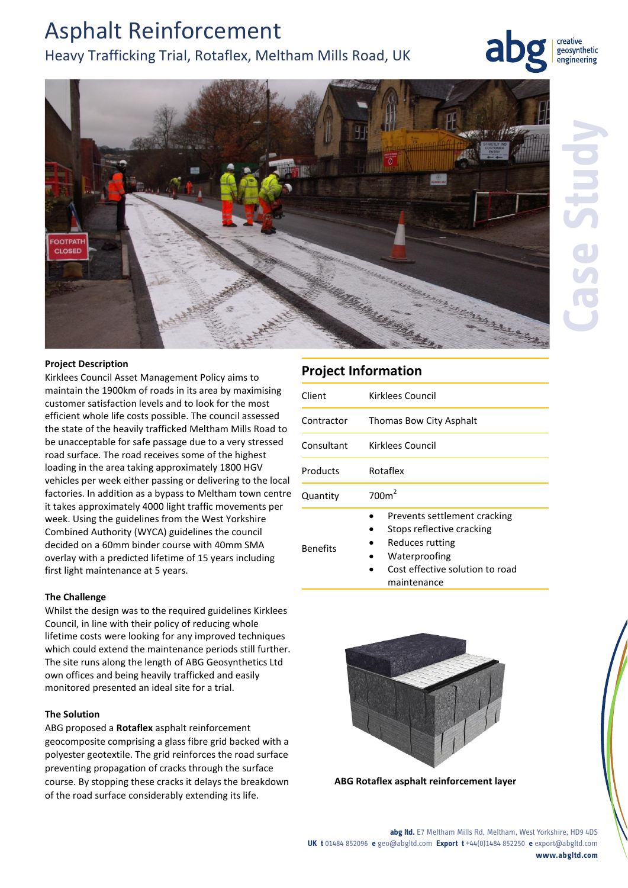# Asphalt Reinforcement Heavy Trafficking Trial, Rotaflex, Meltham Mills Road, UK



#### **Project Description**

Kirklees Council Asset Management Policy aims to maintain the 1900km of roads in its area by maximising customer satisfaction levels and to look for the most efficient whole life costs possible. The council assessed the state of the heavily trafficked Meltham Mills Road to be unacceptable for safe passage due to a very stressed road surface. The road receives some of the highest loading in the area taking approximately 1800 HGV vehicles per week either passing or delivering to the local factories. In addition as a bypass to Meltham town centre it takes approximately 4000 light traffic movements per week. Using the guidelines from the West Yorkshire Combined Authority (WYCA) guidelines the council decided on a 60mm binder course with 40mm SMA overlay with a predicted lifetime of 15 years including first light maintenance at 5 years.

#### **The Challenge**

Whilst the design was to the required guidelines Kirklees Council, in line with their policy of reducing whole lifetime costs were looking for any improved techniques which could extend the maintenance periods still further. The site runs along the length of ABG Geosynthetics Ltd own offices and being heavily trafficked and easily monitored presented an ideal site for a trial.

### **The Solution**

ABG proposed a **Rotaflex** asphalt reinforcement geocomposite comprising a glass fibre grid backed with a polyester geotextile. The grid reinforces the road surface preventing propagation of cracks through the surface course. By stopping these cracks it delays the breakdown of the road surface considerably extending its life.

## **Project Information**

| Client          | Kirklees Council                                                                                                                 |
|-----------------|----------------------------------------------------------------------------------------------------------------------------------|
| Contractor      | Thomas Bow City Asphalt                                                                                                          |
| Consultant      | Kirklees Council                                                                                                                 |
| Products        | Rotaflex                                                                                                                         |
| Quantity        | 700m <sup>2</sup>                                                                                                                |
| <b>Benefits</b> | Prevents settlement cracking<br>Stops reflective cracking<br>Reduces rutting<br>Waterproofing<br>Cost effective solution to road |

maintenance



**ABG Rotaflex asphalt reinforcement layer**